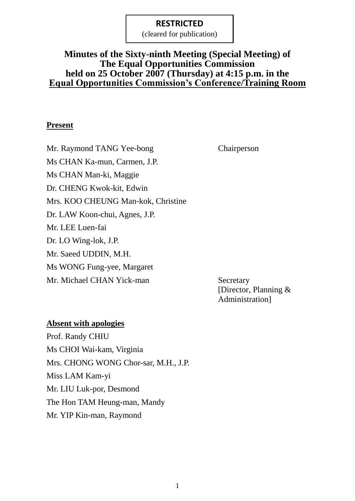(cleared for publication)

## **Minutes of the Sixty-ninth Meeting (Special Meeting) of The Equal Opportunities Commission held on 25 October 2007 (Thursday) at 4:15 p.m. in the Equal Opportunities Commission's Conference/Training Room**

#### **Present**

Mr. Raymond TANG Yee-bong Chairperson Ms CHAN Ka-mun, Carmen, J.P. Ms CHAN Man-ki, Maggie Dr. CHENG Kwok-kit, Edwin Mrs. KOO CHEUNG Man-kok, Christine Dr. LAW Koon-chui, Agnes, J.P. Mr. LEE Luen-fai Dr. LO Wing-lok, J.P. Mr. Saeed UDDIN, M.H. Ms WONG Fung-yee, Margaret Mr. Michael CHAN Yick-man Secretary

[Director, Planning & Administration]

#### **Absent with apologies**

Prof. Randy CHIU Ms CHOI Wai-kam, Virginia Mrs. CHONG WONG Chor-sar, M.H., J.P. Miss LAM Kam-yi Mr. LIU Luk-por, Desmond The Hon TAM Heung-man, Mandy Mr. YIP Kin-man, Raymond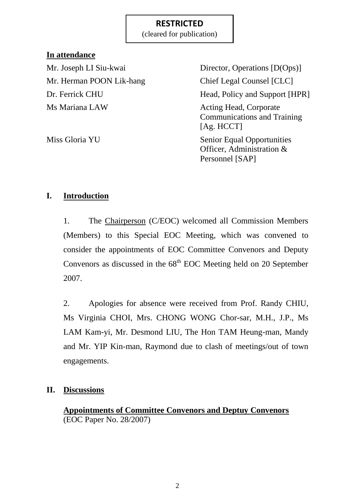(cleared for publication)

## **In attendance**

Mr. Herman POON Lik-hang Chief Legal Counsel [CLC] Ms Mariana LAW Acting Head, Corporate

Mr. Joseph LI Siu-kwai Director, Operations [D(Ops)] Dr. Ferrick CHU Head, Policy and Support [HPR] Communications and Training [Ag. HCCT] Miss Gloria YU Senior Equal Opportunities Officer, Administration &

Personnel [SAP]

## **I. Introduction**

1. The Chairperson (C/EOC) welcomed all Commission Members (Members) to this Special EOC Meeting, which was convened to consider the appointments of EOC Committee Convenors and Deputy Convenors as discussed in the  $68<sup>th</sup>$  EOC Meeting held on 20 September 2007.

2. Apologies for absence were received from Prof. Randy CHIU, Ms Virginia CHOI, Mrs. CHONG WONG Chor-sar, M.H., J.P., Ms LAM Kam-yi, Mr. Desmond LIU, The Hon TAM Heung-man, Mandy and Mr. YIP Kin-man, Raymond due to clash of meetings/out of town engagements.

## **II. Discussions**

**Appointments of Committee Convenors and Deptuy Convenors** (EOC Paper No. 28/2007)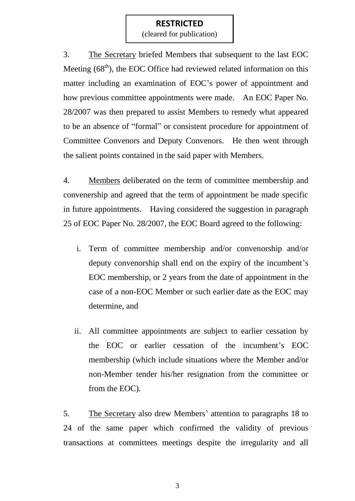(cleared for publication)

3. The Secretary briefed Members that subsequent to the last EOC Meeting  $(68<sup>th</sup>)$ , the EOC Office had reviewed related information on this matter including an examination of EOC's power of appointment and how previous committee appointments were made. An EOC Paper No. 28/2007 was then prepared to assist Members to remedy what appeared to be an absence of "formal" or consistent procedure for appointment of Committee Convenors and Deputy Convenors. He then went through the salient points contained in the said paper with Members.

4. Members deliberated on the term of committee membership and convenership and agreed that the term of appointment be made specific in future appointments. Having considered the suggestion in paragraph 25 of EOC Paper No. 28/2007, the EOC Board agreed to the following:

- i. Term of committee membership and/or convenorship and/or deputy convenorship shall end on the expiry of the incumbent's EOC membership, or 2 years from the date of appointment in the case of a non-EOC Member or such earlier date as the EOC may determine, and
- ii. All committee appointments are subject to earlier cessation by the EOC or earlier cessation of the incumbent's EOC membership (which include situations where the Member and/or non-Member tender his/her resignation from the committee or from the EOC).

5. The Secretary also drew Members' attention to paragraphs 18 to 24 of the same paper which confirmed the validity of previous transactions at committees meetings despite the irregularity and all

3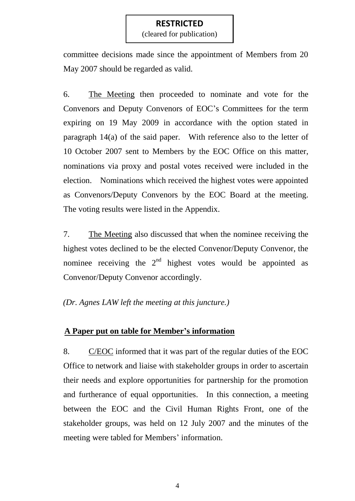(cleared for publication)

committee decisions made since the appointment of Members from 20 May 2007 should be regarded as valid.

6. The Meeting then proceeded to nominate and vote for the Convenors and Deputy Convenors of EOC's Committees for the term expiring on 19 May 2009 in accordance with the option stated in paragraph 14(a) of the said paper. With reference also to the letter of 10 October 2007 sent to Members by the EOC Office on this matter, nominations via proxy and postal votes received were included in the election. Nominations which received the highest votes were appointed as Convenors/Deputy Convenors by the EOC Board at the meeting. The voting results were listed in the Appendix.

7. The Meeting also discussed that when the nominee receiving the highest votes declined to be the elected Convenor/Deputy Convenor, the nominee receiving the  $2<sup>nd</sup>$  highest votes would be appointed as Convenor/Deputy Convenor accordingly.

*(Dr. Agnes LAW left the meeting at this juncture.)*

## **A Paper put on table for Member's information**

8. C/EOC informed that it was part of the regular duties of the EOC Office to network and liaise with stakeholder groups in order to ascertain their needs and explore opportunities for partnership for the promotion and furtherance of equal opportunities. In this connection, a meeting between the EOC and the Civil Human Rights Front, one of the stakeholder groups, was held on 12 July 2007 and the minutes of the meeting were tabled for Members' information.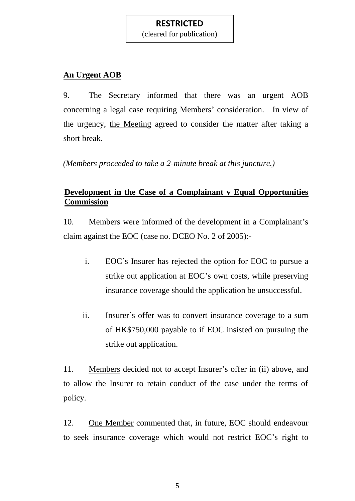(cleared for publication)

# **An Urgent AOB**

9. The Secretary informed that there was an urgent AOB concerning a legal case requiring Members' consideration. In view of the urgency, the Meeting agreed to consider the matter after taking a short break.

*(Members proceeded to take a 2-minute break at this juncture.)*

# **Development in the Case of a Complainant v Equal Opportunities Commission**

10. Members were informed of the development in a Complainant's claim against the EOC (case no. DCEO No. 2 of 2005):-

- i. EOC's Insurer has rejected the option for EOC to pursue a strike out application at EOC's own costs, while preserving insurance coverage should the application be unsuccessful.
- ii. Insurer's offer was to convert insurance coverage to a sum of HK\$750,000 payable to if EOC insisted on pursuing the strike out application.

11. Members decided not to accept Insurer's offer in (ii) above, and to allow the Insurer to retain conduct of the case under the terms of policy.

12. One Member commented that, in future, EOC should endeavour to seek insurance coverage which would not restrict EOC's right to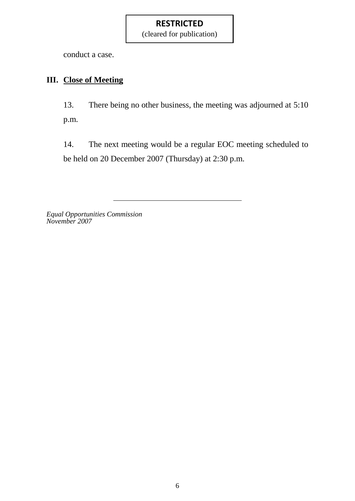(cleared for publication)

conduct a case.

# **III. Close of Meeting**

13. There being no other business, the meeting was adjourned at 5:10 p.m.

14. The next meeting would be a regular EOC meeting scheduled to be held on 20 December 2007 (Thursday) at 2:30 p.m.

*Equal Opportunities Commission November 2007*